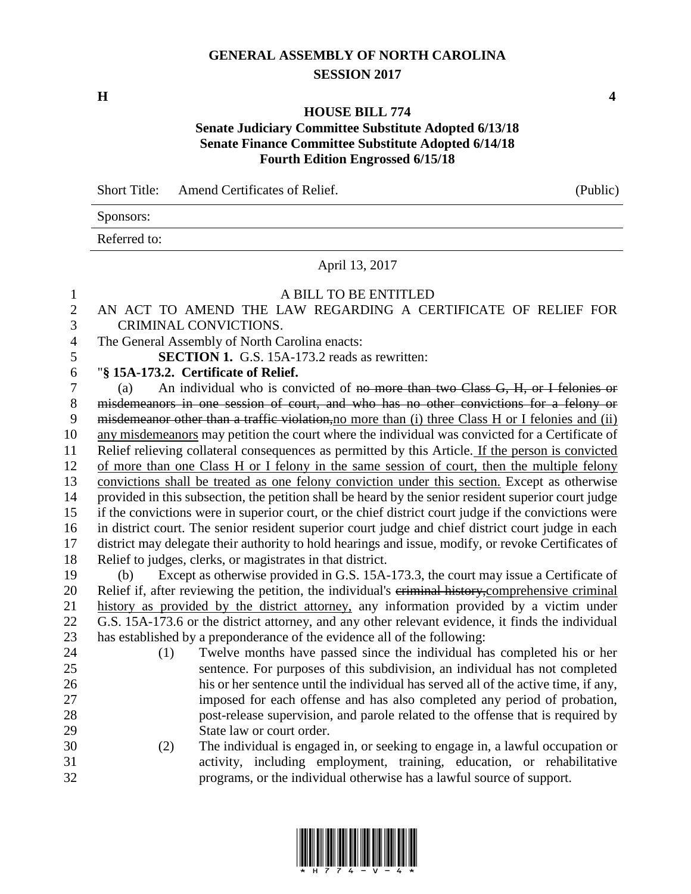## **GENERAL ASSEMBLY OF NORTH CAROLINA SESSION 2017**

**H 4**

#### **HOUSE BILL 774**

# **Senate Judiciary Committee Substitute Adopted 6/13/18 Senate Finance Committee Substitute Adopted 6/14/18 Fourth Edition Engrossed 6/15/18**

Short Title: Amend Certificates of Relief. (Public) Sponsors: Referred to: April 13, 2017 A BILL TO BE ENTITLED

## AN ACT TO AMEND THE LAW REGARDING A CERTIFICATE OF RELIEF FOR CRIMINAL CONVICTIONS. The General Assembly of North Carolina enacts: **SECTION 1.** G.S. 15A-173.2 reads as rewritten: "**§ 15A-173.2. Certificate of Relief.** (a) An individual who is convicted of no more than two Class G, H, or I felonies or misdemeanors in one session of court, and who has no other convictions for a felony or 9 misdemeanor other than a traffic violation, no more than (i) three Class H or I felonies and (ii) any misdemeanors may petition the court where the individual was convicted for a Certificate of Relief relieving collateral consequences as permitted by this Article. If the person is convicted of more than one Class H or I felony in the same session of court, then the multiple felony convictions shall be treated as one felony conviction under this section. Except as otherwise provided in this subsection, the petition shall be heard by the senior resident superior court judge if the convictions were in superior court, or the chief district court judge if the convictions were in district court. The senior resident superior court judge and chief district court judge in each district may delegate their authority to hold hearings and issue, modify, or revoke Certificates of Relief to judges, clerks, or magistrates in that district. (b) Except as otherwise provided in G.S. 15A-173.3, the court may issue a Certificate of 20 Relief if, after reviewing the petition, the individual's eriminal history, comprehensive criminal history as provided by the district attorney, any information provided by a victim under G.S. 15A-173.6 or the district attorney, and any other relevant evidence, it finds the individual has established by a preponderance of the evidence all of the following: (1) Twelve months have passed since the individual has completed his or her sentence. For purposes of this subdivision, an individual has not completed his or her sentence until the individual has served all of the active time, if any, imposed for each offense and has also completed any period of probation, post-release supervision, and parole related to the offense that is required by State law or court order. (2) The individual is engaged in, or seeking to engage in, a lawful occupation or activity, including employment, training, education, or rehabilitative programs, or the individual otherwise has a lawful source of support.

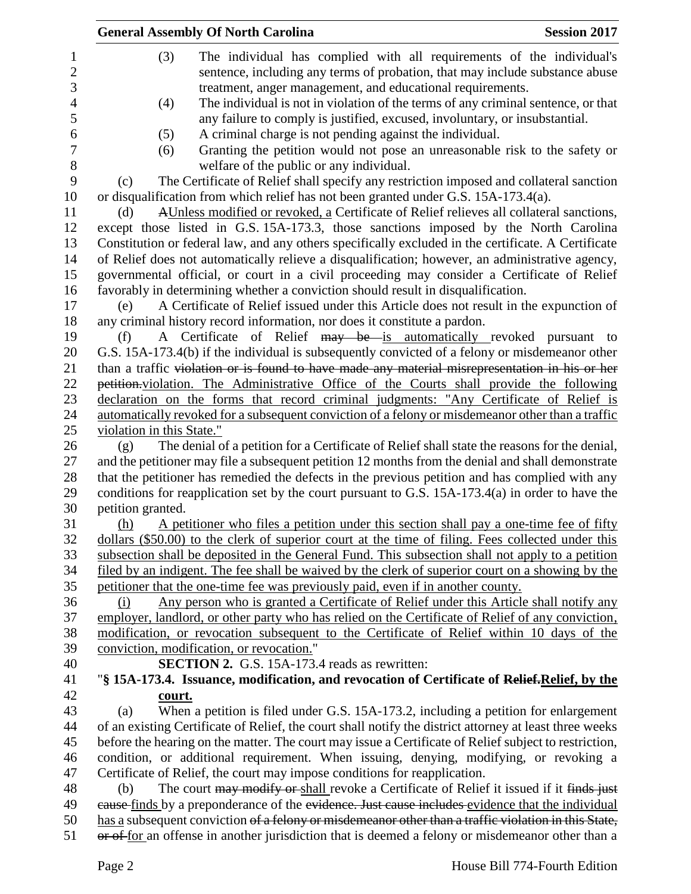|                | <b>General Assembly Of North Carolina</b><br><b>Session 2017</b>                                                                                                                            |
|----------------|---------------------------------------------------------------------------------------------------------------------------------------------------------------------------------------------|
| $\mathbf{1}$   | (3)<br>The individual has complied with all requirements of the individual's                                                                                                                |
| $\sqrt{2}$     | sentence, including any terms of probation, that may include substance abuse                                                                                                                |
| 3              | treatment, anger management, and educational requirements.                                                                                                                                  |
| $\overline{4}$ | The individual is not in violation of the terms of any criminal sentence, or that<br>(4)                                                                                                    |
| 5              | any failure to comply is justified, excused, involuntary, or insubstantial.                                                                                                                 |
| 6              | A criminal charge is not pending against the individual.<br>(5)                                                                                                                             |
| 7              | Granting the petition would not pose an unreasonable risk to the safety or<br>(6)                                                                                                           |
| $8\,$          | welfare of the public or any individual.                                                                                                                                                    |
| 9              | The Certificate of Relief shall specify any restriction imposed and collateral sanction<br>(c)                                                                                              |
|                | or disqualification from which relief has not been granted under G.S. 15A-173.4(a).                                                                                                         |
|                | AUnless modified or revoked, a Certificate of Relief relieves all collateral sanctions,<br>(d)                                                                                              |
|                | except those listed in G.S. 15A-173.3, those sanctions imposed by the North Carolina                                                                                                        |
|                | Constitution or federal law, and any others specifically excluded in the certificate. A Certificate                                                                                         |
|                | of Relief does not automatically relieve a disqualification; however, an administrative agency,                                                                                             |
|                | governmental official, or court in a civil proceeding may consider a Certificate of Relief                                                                                                  |
|                | favorably in determining whether a conviction should result in disqualification.                                                                                                            |
|                | A Certificate of Relief issued under this Article does not result in the expunction of<br>(e)                                                                                               |
|                | any criminal history record information, nor does it constitute a pardon.                                                                                                                   |
|                | A Certificate of Relief may be is automatically revoked pursuant to<br>(f)                                                                                                                  |
|                | G.S. 15A-173.4(b) if the individual is subsequently convicted of a felony or misdemeanor other                                                                                              |
|                | than a traffic violation or is found to have made any material misrepresentation in his or her                                                                                              |
|                | petition violation. The Administrative Office of the Courts shall provide the following                                                                                                     |
|                | declaration on the forms that record criminal judgments: "Any Certificate of Relief is                                                                                                      |
|                | automatically revoked for a subsequent conviction of a felony or misdemeanor other than a traffic<br>violation in this State."                                                              |
|                | The denial of a petition for a Certificate of Relief shall state the reasons for the denial,<br>(g)                                                                                         |
|                | and the petitioner may file a subsequent petition 12 months from the denial and shall demonstrate                                                                                           |
|                | that the petitioner has remedied the defects in the previous petition and has complied with any                                                                                             |
|                | conditions for reapplication set by the court pursuant to G.S. 15A-173.4(a) in order to have the                                                                                            |
|                | petition granted.                                                                                                                                                                           |
|                | A petitioner who files a petition under this section shall pay a one-time fee of fifty<br>(h)                                                                                               |
|                | dollars (\$50.00) to the clerk of superior court at the time of filing. Fees collected under this                                                                                           |
|                | subsection shall be deposited in the General Fund. This subsection shall not apply to a petition                                                                                            |
|                | filed by an indigent. The fee shall be waived by the clerk of superior court on a showing by the                                                                                            |
|                | petitioner that the one-time fee was previously paid, even if in another county.                                                                                                            |
|                | Any person who is granted a Certificate of Relief under this Article shall notify any<br>(i)                                                                                                |
|                | employer, landlord, or other party who has relied on the Certificate of Relief of any conviction,                                                                                           |
|                | modification, or revocation subsequent to the Certificate of Relief within 10 days of the                                                                                                   |
|                | conviction, modification, or revocation."                                                                                                                                                   |
|                | <b>SECTION 2.</b> G.S. 15A-173.4 reads as rewritten:                                                                                                                                        |
|                | "§ 15A-173.4. Issuance, modification, and revocation of Certificate of Relief. Relief, by the                                                                                               |
|                | court.                                                                                                                                                                                      |
|                | When a petition is filed under G.S. 15A-173.2, including a petition for enlargement<br>(a)                                                                                                  |
|                | of an existing Certificate of Relief, the court shall notify the district attorney at least three weeks                                                                                     |
|                | before the hearing on the matter. The court may issue a Certificate of Relief subject to restriction,                                                                                       |
|                | condition, or additional requirement. When issuing, denying, modifying, or revoking a                                                                                                       |
|                | Certificate of Relief, the court may impose conditions for reapplication.<br>(b)                                                                                                            |
|                | The court may modify or shall revoke a Certificate of Relief it issued if it finds just<br>eause finds by a preponderance of the evidence. Just cause includes evidence that the individual |
|                | has a subsequent conviction of a felony or misdemeanor other than a traffic violation in this State,                                                                                        |
|                | or of for an offense in another jurisdiction that is deemed a felony or misdemeanor other than a                                                                                            |
|                |                                                                                                                                                                                             |